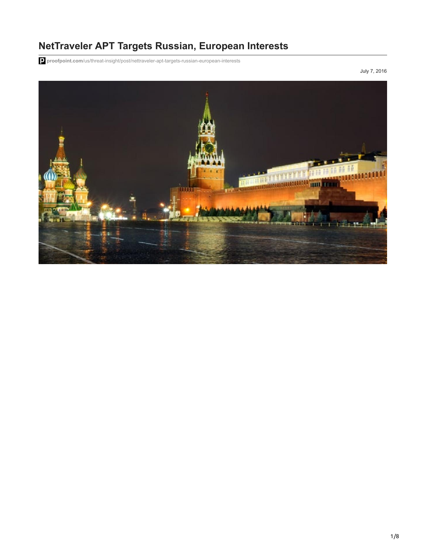# **NetTraveler APT Targets Russian, European Interests**

**proofpoint.com**[/us/threat-insight/post/nettraveler-apt-targets-russian-european-interests](https://www.proofpoint.com/us/threat-insight/post/nettraveler-apt-targets-russian-european-interests)

July 7, 2016

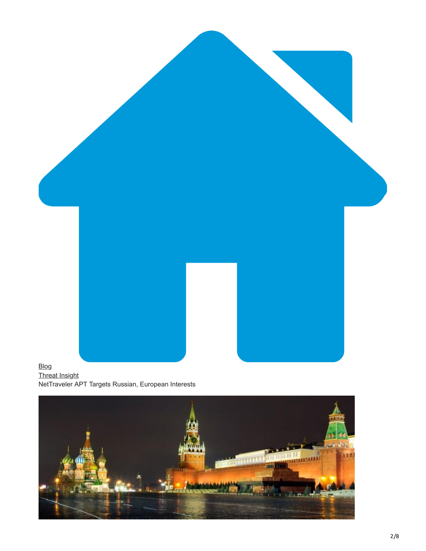

[Threat Insight](https://www.proofpoint.com/us/blog/threat-insight) NetTraveler APT Targets Russian, European Interests

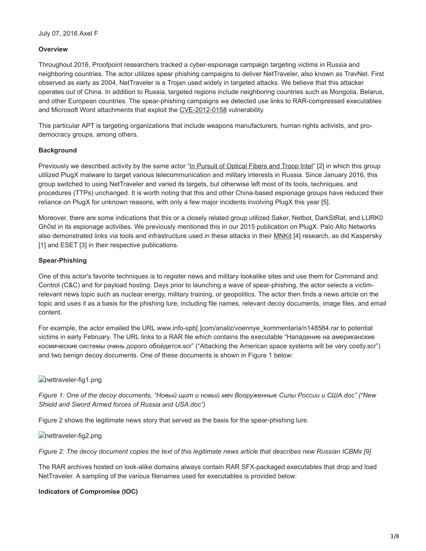#### **Overview**

Throughout 2016, Proofpoint researchers tracked a cyber-espionage campaign targeting victims in Russia and neighboring countries. The actor utilizes spear phishing campaigns to deliver NetTraveler, also known as TravNet. First observed as early as 2004, NetTraveler is a Trojan used widely in targeted attacks. We believe that this attacker operates out of China. In addition to Russia, targeted regions include neighboring countries such as Mongolia, Belarus, and other European countries. The spear-phishing campaigns we detected use links to RAR-compressed executables and Microsoft Word attachments that exploit the [CVE-2012-0158](http://www.cve.mitre.org/cgi-bin/cvename.cgi?name=cve-2012-0158) vulnerability.

This particular APT is targeting organizations that include weapons manufacturers, human rights activists, and prodemocracy groups, among others.

#### **Background**

Previously we described activity by the same actor "[In Pursuit of Optical Fibers and Troop Intel"](https://www.proofpoint.com/us/threat-insight/post/PlugX-in-Russia) [2] in which this group utilized PlugX malware to target various telecommunication and military interests in Russia. Since January 2016, this group switched to using NetTraveler and varied its targets, but otherwise left most of its tools, techniques, and procedures (TTPs) unchanged. It is worth noting that this and other China-based espionage groups have reduced their reliance on PlugX for unknown reasons, with only a few major incidents involving PlugX this year [5].

Moreover, there are some indications that this or a closely related group utilized Saker, Netbot, DarkStRat, and LURK0 Gh0st in its espionage activities. We previously mentioned this in our 2015 publication on PlugX. Palo Alto Networks also demonstrated links via tools and infrastructure used in these attacks in their [MNKit](http://researchcenter.paloaltonetworks.com/2016/01/nettraveler-spear-phishing-email-targets-diplomat-of-uzbekistan/) [4] research, as did Kaspersky [1] and ESET [3] in their respective publications.

#### **Spear-Phishing**

One of this actor's favorite techniques is to register news and military lookalike sites and use them for Command and Control (C&C) and for payload hosting. Days prior to launching a wave of spear-phishing, the actor selects a victimrelevant news topic such as nuclear energy, military training, or geopolitics. The actor then finds a news article on the topic and uses it as a basis for the phishing lure, including file names, relevant decoy documents, image files, and email content.

For example, the actor emailed the URL www.info-spb[.]com/analiz/voennye\_kommentaria/n148584.rar to potential victims in early February. The URL links to a RAR file which contains the executable "Нападение на американские космические системы очень дорого обойдется.scr" ("Attacking the American space systems will be very costly.scr") and two benign decoy documents. One of these documents is shown in Figure 1 below:

## nettraveler-fig1.png

*Figure 1: One of the decoy documents, "Новый щит и новый меч Вооруженные Силы России и США.doc" ("New Shield and Sword Armed forces of Russia and USA.doc")*

Figure 2 shows the legitimate news story that served as the basis for the spear-phishing lure.

nettraveler-fig2.png

*Figure 2: The decoy document copies the text of this legitimate news article that describes new Russian ICBMs [9]*

The RAR archives hosted on look-alike domains always contain RAR SFX-packaged executables that drop and load NetTraveler. A sampling of the various filenames used for executables is provided below:

## **Indicators of Compromise (IOC)**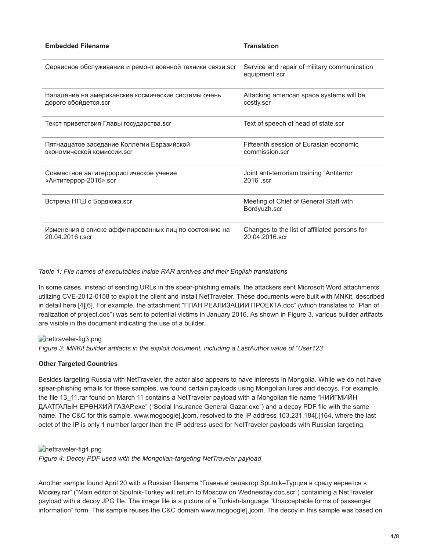| <b>Embedded Filename</b>                                  | <b>Translation</b>                                            |
|-----------------------------------------------------------|---------------------------------------------------------------|
| Сервисное обслуживание и ремонт военной техники связи.scr | Service and repair of military communication<br>equipment.scr |
| Нападение на американские космические системы очень       | Attacking american space systems will be                      |
| дорого обойдется.scr                                      | costly.scr                                                    |
| Текст приветствия Главы государства.scr                   | Text of speech of head of state.scr                           |
| Пятнадцатое заседание Коллегии Евразийской                | Fifteenth session of Furasian economic                        |
| экономической комиссии.scr                                | commission.scr                                                |
| Совместное антитеррористическое учение                    | Joint anti-terrorism training "Antiterror                     |
| «Антитеррор-2016».scr                                     | 2016".scr                                                     |
| Встреча НГШ с Бордюжа.scr                                 | Meeting of Chief of General Staff with<br>Bordyuzh.scr        |
| Изменения в списке аффилированных лиц по состоянию на     | Changes to the list of affiliated persons for                 |
| 20.04.2016 r.scr                                          | 20.04.2016.scr                                                |

#### *Table 1: File names of executables inside RAR archives and their English translations*

In some cases, instead of sending URLs in the spear-phishing emails, the attackers sent Microsoft Word attachments utilizing CVE-2012-0158 to exploit the client and install NetTraveler. These documents were built with MNKit, described in detail here [4][6]. For example, the attachment "ПЛАН РЕАЛИЗАЦИИ ПРОЕКТА.doc" (which translates to "Plan of realization of project.doc") was sent to potential victims in January 2016. As shown in Figure 3, various builder artifacts are visible in the document indicating the use of a builder.

nettraveler-fig3.png

*Figure 3: MNKit builder artifacts in the exploit document, including a LastAuthor value of "User123"*

## **Other Targeted Countries**

Besides targeting Russia with NetTraveler, the actor also appears to have interests in Mongolia. While we do not have spear-phishing emails for these samples, we found certain payloads using Mongolian lures and decoys. For example, the file 13\_11.rar found on March 11 contains a NetTraveler payload with a Mongolian file name "НИЙГМИЙН ДААТГАЛЫН ЕРӨНХИЙ ГАЗАР.exe" ("Social Insurance General Gazar.exe") and a decoy PDF file with the same name. The C&C for this sample, www.mogoogle[.]com, resolved to the IP address 103.231.184[.]164, where the last octet of the IP is only 1 number larger than the IP address used for NetTraveler payloads with Russian targeting.

nettraveler-fig4.png

*Figure 4: Decoy PDF used with the Mongolian-targeting NetTraveler payload*

Another sample found April 20 with a Russian filename "Главный редактор Sputnik–Турция в среду вернется в Москву.rar" ("Main editor of Sputnik-Turkey will return to Moscow on Wednesday.doc.scr") containing a NetTraveler payload with a decoy JPG file. The image file is a picture of a Turkish-language "Unacceptable forms of passenger information" form. This sample reuses the C&C domain www.mogoogle[.]com. The decoy in this sample was based on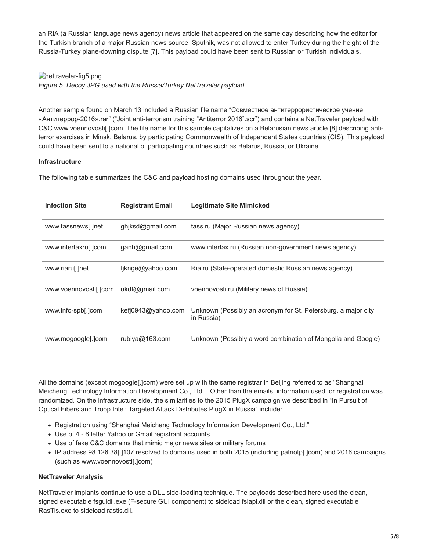an RIA (a Russian language news agency) news article that appeared on the same day describing how the editor for the Turkish branch of a major Russian news source, Sputnik, was not allowed to enter Turkey during the height of the Russia-Turkey plane-downing dispute [7]. This payload could have been sent to Russian or Turkish individuals.

nettraveler-fig5.png

*Figure 5: Decoy JPG used with the Russia/Turkey NetTraveler payload*

Another sample found on March 13 included a Russian file name "Совместное антитеррористическое учение «Антитеррор-2016».rar" ("Joint anti-terrorism training "Antiterror 2016".scr") and contains a NetTraveler payload with C&C www.voennovosti[.]com. The file name for this sample capitalizes on a Belarusian news article [8] describing antiterror exercises in Minsk, Belarus, by participating Commonwealth of Independent States countries (CIS). This payload could have been sent to a national of participating countries such as Belarus, Russia, or Ukraine.

## **Infrastructure**

The following table summarizes the C&C and payload hosting domains used throughout the year.

| <b>Infection Site</b> | <b>Registrant Email</b> | <b>Legitimate Site Mimicked</b>                                             |
|-----------------------|-------------------------|-----------------------------------------------------------------------------|
| www.tassnews[.]net    | ghiksd@gmail.com        | tass.ru (Major Russian news agency)                                         |
| www.interfaxru[.]com  | ganh@gmail.com          | www.interfax.ru (Russian non-government news agency)                        |
| www.riaru[.]net       | fjknge@yahoo.com        | Ria.ru (State-operated domestic Russian news agency)                        |
| www.voennovostil.jcom | ukdf@gmail.com          | voennovosti.ru (Military news of Russia)                                    |
| www.info-spb[.]com    | kefj0943@yahoo.com      | Unknown (Possibly an acronym for St. Petersburg, a major city<br>in Russia) |
| www.mogoogle[.]com    | rubiya@163.com          | Unknown (Possibly a word combination of Mongolia and Google)                |

All the domains (except mogoogle[.]com) were set up with the same registrar in Beijing referred to as "Shanghai Meicheng Technology Information Development Co., Ltd.". Other than the emails, information used for registration was randomized. On the infrastructure side, the similarities to the 2015 PlugX campaign we described in "In Pursuit of Optical Fibers and Troop Intel: Targeted Attack Distributes PlugX in Russia" include:

- Registration using "Shanghai Meicheng Technology Information Development Co., Ltd."
- Use of 4 6 letter Yahoo or Gmail registrant accounts
- Use of fake C&C domains that mimic major news sites or military forums
- IP address 98.126.38[.]107 resolved to domains used in both 2015 (including patriotp[.]com) and 2016 campaigns (such as www.voennovosti[.]com)

## **NetTraveler Analysis**

NetTraveler implants continue to use a DLL side-loading technique. The payloads described here used the clean, signed executable fsguidll.exe (F-secure GUI component) to sideload fslapi.dll or the clean, signed executable RasTls.exe to sideload rastls.dll.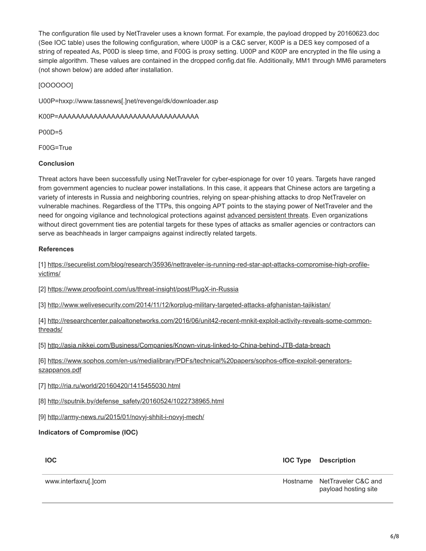The configuration file used by NetTraveler uses a known format. For example, the payload dropped by 20160623.doc (See IOC table) uses the following configuration, where U00P is a C&C server, K00P is a DES key composed of a string of repeated As, P00D is sleep time, and F00G is proxy setting. U00P and K00P are encrypted in the file using a simple algorithm. These values are contained in the dropped config.dat file. Additionally, MM1 through MM6 parameters (not shown below) are added after installation.

[OOOOOO]

U00P=hxxp://www.tassnews[.]net/revenge/dk/downloader.asp

K00P=AAAAAAAAAAAAAAAAAAAAAAAAAAAAAAAA

P00D=5

F00G=True

#### **Conclusion**

Threat actors have been successfully using NetTraveler for cyber-espionage for over 10 years. Targets have ranged from government agencies to nuclear power installations. In this case, it appears that Chinese actors are targeting a variety of interests in Russia and neighboring countries, relying on spear-phishing attacks to drop NetTraveler on vulnerable machines. Regardless of the TTPs, this ongoing APT points to the staying power of NetTraveler and the need for ongoing vigilance and technological protections against [advanced persistent threats.](https://www.proofpoint.com/us/threat-reference/advanced-persistent-threat) Even organizations without direct government ties are potential targets for these types of attacks as smaller agencies or contractors can serve as beachheads in larger campaigns against indirectly related targets.

## **References**

[\[1\] https://securelist.com/blog/research/35936/nettraveler-is-running-red-star-apt-attacks-compromise-high-profile](https://securelist.com/blog/research/35936/nettraveler-is-running-red-star-apt-attacks-compromise-high-profile-victims/)victims/

[2] <https://www.proofpoint.com/us/threat-insight/post/PlugX-in-Russia>

[3] <http://www.welivesecurity.com/2014/11/12/korplug-military-targeted-attacks-afghanistan-tajikistan/>

[\[4\] http://researchcenter.paloaltonetworks.com/2016/06/unit42-recent-mnkit-exploit-activity-reveals-some-common](http://researchcenter.paloaltonetworks.com/2016/06/unit42-recent-mnkit-exploit-activity-reveals-some-common-threads/)threads/

[5] <http://asia.nikkei.com/Business/Companies/Known-virus-linked-to-China-behind-JTB-data-breach>

[\[6\] https://www.sophos.com/en-us/medialibrary/PDFs/technical%20papers/sophos-office-exploit-generators](https://www.sophos.com/en-us/medialibrary/PDFs/technical%20papers/sophos-office-exploit-generators-szappanos.pdf)szappanos.pdf

[7] <http://ria.ru/world/20160420/1415455030.html>

[8] [http://sputnik.by/defense\\_safety/20160524/1022738965.html](http://sputnik.by/defense_safety/20160524/1022738965.html)

[9] <http://army-news.ru/2015/01/novyj-shhit-i-novyj-mech/>

## **Indicators of Compromise (IOC)**

**IOC IOC Type Description**

www.interfaxru[.]com extended the extended of the extended of the Hostname NetTraveler C&C and payload hosting site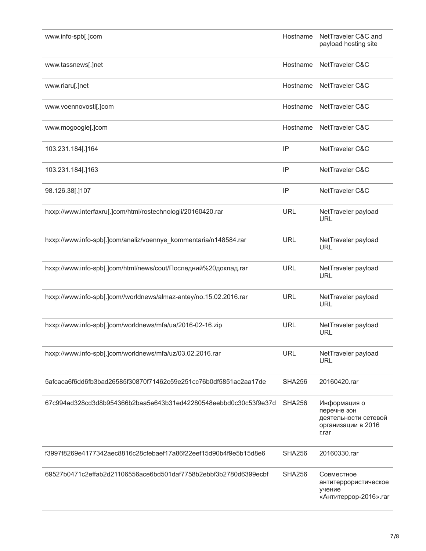| www.info-spb[.]com                                                 | Hostname      | NetTraveler C&C and<br>payload hosting site                                        |
|--------------------------------------------------------------------|---------------|------------------------------------------------------------------------------------|
| www.tassnews[.]net                                                 | Hostname      | <b>NetTraveler C&amp;C</b>                                                         |
| www.riaru[.]net                                                    | Hostname      | <b>NetTraveler C&amp;C</b>                                                         |
| www.voennovosti[.]com                                              | Hostname      | <b>NetTraveler C&amp;C</b>                                                         |
| www.mogoogle[.]com                                                 | Hostname      | NetTraveler C&C                                                                    |
| 103.231.184[.]164                                                  | IP            | NetTraveler C&C                                                                    |
| 103.231.184[.]163                                                  | IP            | NetTraveler C&C                                                                    |
| 98.126.38[.]107                                                    | IP            | NetTraveler C&C                                                                    |
| hxxp://www.interfaxru[.]com/html/rostechnologii/20160420.rar       | <b>URL</b>    | NetTraveler payload<br><b>URL</b>                                                  |
| hxxp://www.info-spb[.]com/analiz/voennye_kommentaria/n148584.rar   | <b>URL</b>    | NetTraveler payload<br><b>URL</b>                                                  |
| hxxp://www.info-spb[.]com/html/news/cout/Последний%20доклад.rar    | <b>URL</b>    | NetTraveler payload<br><b>URL</b>                                                  |
| hxxp://www.info-spb[.]com//worldnews/almaz-antey/no.15.02.2016.rar | <b>URL</b>    | NetTraveler payload<br><b>URL</b>                                                  |
| hxxp://www.info-spb[.]com/worldnews/mfa/ua/2016-02-16.zip          | <b>URL</b>    | NetTraveler payload<br><b>URL</b>                                                  |
| hxxp://www.info-spb[.]com/worldnews/mfa/uz/03.02.2016.rar          | <b>URL</b>    | NetTraveler payload<br><b>URL</b>                                                  |
| 5afcaca6f6dd6fb3bad26585f30870f71462c59e251cc76b0df5851ac2aa17de   | <b>SHA256</b> | 20160420.rar                                                                       |
| 67c994ad328cd3d8b954366b2baa5e643b31ed42280548eebbd0c30c53f9e37d   | <b>SHA256</b> | Информация о<br>перечне зон<br>деятельности сетевой<br>организации в 2016<br>r.rar |
| f3997f8269e4177342aec8816c28cfebaef17a86f22eef15d90b4f9e5b15d8e6   | <b>SHA256</b> | 20160330.rar                                                                       |
| 69527b0471c2effab2d21106556ace6bd501daf7758b2ebbf3b2780d6399ecbf   | <b>SHA256</b> | Совместное<br>антитеррористическое<br>учение<br>«Антитеррор-2016».rar              |